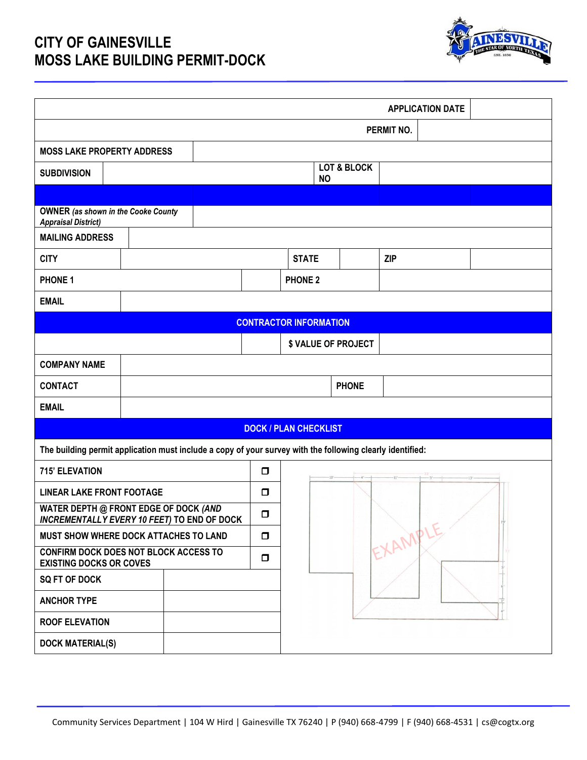## **CITY OF GAINESVILLE MOSS LAKE BUILDING PERMIT-DOCK**



| <b>APPLICATION DATE</b>                                                                     |                                                                         |                                                                                                           |                               |                                     |                |                     |            |  |  |  |
|---------------------------------------------------------------------------------------------|-------------------------------------------------------------------------|-----------------------------------------------------------------------------------------------------------|-------------------------------|-------------------------------------|----------------|---------------------|------------|--|--|--|
|                                                                                             |                                                                         |                                                                                                           |                               | PERMIT NO.                          |                |                     |            |  |  |  |
| <b>MOSS LAKE PROPERTY ADDRESS</b>                                                           |                                                                         |                                                                                                           |                               |                                     |                |                     |            |  |  |  |
| <b>SUBDIVISION</b>                                                                          |                                                                         |                                                                                                           |                               | <b>LOT &amp; BLOCK</b><br><b>NO</b> |                |                     |            |  |  |  |
|                                                                                             |                                                                         |                                                                                                           |                               |                                     |                |                     |            |  |  |  |
| <b>OWNER</b> (as shown in the Cooke County<br><b>Appraisal District)</b>                    |                                                                         |                                                                                                           |                               |                                     |                |                     |            |  |  |  |
| <b>MAILING ADDRESS</b>                                                                      |                                                                         |                                                                                                           |                               |                                     |                |                     |            |  |  |  |
| <b>CITY</b>                                                                                 |                                                                         |                                                                                                           |                               |                                     | <b>STATE</b>   |                     | <b>ZIP</b> |  |  |  |
| <b>PHONE 1</b>                                                                              |                                                                         |                                                                                                           |                               |                                     | <b>PHONE 2</b> |                     |            |  |  |  |
| <b>EMAIL</b>                                                                                |                                                                         |                                                                                                           |                               |                                     |                |                     |            |  |  |  |
|                                                                                             |                                                                         |                                                                                                           | <b>CONTRACTOR INFORMATION</b> |                                     |                |                     |            |  |  |  |
|                                                                                             |                                                                         |                                                                                                           |                               |                                     |                | \$ VALUE OF PROJECT |            |  |  |  |
| <b>COMPANY NAME</b>                                                                         |                                                                         |                                                                                                           |                               |                                     |                |                     |            |  |  |  |
| <b>CONTACT</b>                                                                              |                                                                         |                                                                                                           |                               | <b>PHONE</b>                        |                |                     |            |  |  |  |
| <b>EMAIL</b>                                                                                |                                                                         |                                                                                                           |                               |                                     |                |                     |            |  |  |  |
|                                                                                             |                                                                         |                                                                                                           | <b>DOCK / PLAN CHECKLIST</b>  |                                     |                |                     |            |  |  |  |
|                                                                                             |                                                                         | The building permit application must include a copy of your survey with the following clearly identified: |                               |                                     |                |                     |            |  |  |  |
| <b>715' ELEVATION</b>                                                                       |                                                                         | $\Box$                                                                                                    |                               |                                     |                |                     |            |  |  |  |
| <b>LINEAR LAKE FRONT FOOTAGE</b>                                                            |                                                                         | $\Box$                                                                                                    |                               |                                     |                |                     |            |  |  |  |
| WATER DEPTH @ FRONT EDGE OF DOCK (AND<br><b>INCREMENTALLY EVERY 10 FEET) TO END OF DOCK</b> |                                                                         | α                                                                                                         |                               |                                     |                |                     |            |  |  |  |
| MUST SHOW WHERE DOCK ATTACHES TO LAND                                                       |                                                                         |                                                                                                           | $\Box$                        | EXAMPLE                             |                |                     |            |  |  |  |
|                                                                                             | CONFIRM DOCK DOES NOT BLOCK ACCESS TO<br><b>EXISTING DOCKS OR COVES</b> |                                                                                                           |                               |                                     |                |                     |            |  |  |  |
| <b>SQ FT OF DOCK</b>                                                                        |                                                                         |                                                                                                           |                               |                                     |                |                     |            |  |  |  |
| <b>ANCHOR TYPE</b>                                                                          |                                                                         |                                                                                                           |                               |                                     |                |                     |            |  |  |  |
| <b>ROOF ELEVATION</b>                                                                       |                                                                         |                                                                                                           |                               |                                     |                |                     |            |  |  |  |
| <b>DOCK MATERIAL(S)</b>                                                                     |                                                                         |                                                                                                           |                               |                                     |                |                     |            |  |  |  |